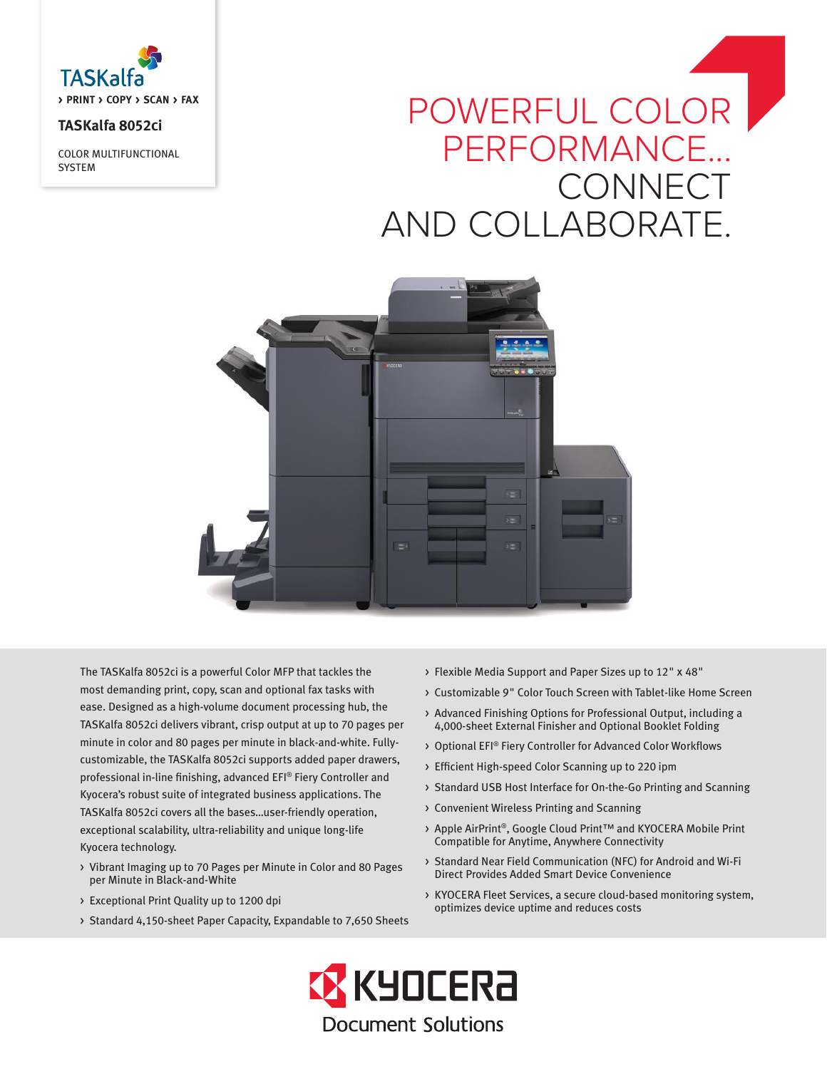

**TASKalfa 8052ci**

COLOR MULTIFUNCTIONAL **SYSTEM** 

# POWERFUL COLOR PERFORMANCE... **CONNECT** AND COLLABORATE.



The TASKalfa 8052ci is a powerful Color MFP that tackles the most demanding print, copy, scan and optional fax tasks with ease. Designed as a high-volume document processing hub, the TASKalfa 8052ci delivers vibrant, crisp output at up to 70 pages per minute in color and 80 pages per minute in black-and-white. Fullycustomizable, the TASKalfa 8052ci supports added paper drawers, professional in-line finishing, advanced EFI® Fiery Controller and Kyocera's robust suite of integrated business applications. The TASKalfa 8052ci covers all the bases…user-friendly operation, exceptional scalability, ultra-reliability and unique long-life Kyocera technology.

- > Vibrant Imaging up to 70 Pages per Minute in Color and 80 Pages per Minute in Black-and-White
- > Exceptional Print Quality up to 1200 dpi
- > Standard 4,150-sheet Paper Capacity, Expandable to 7,650 Sheets
- > Flexible Media Support and Paper Sizes up to 12" x 48"
- > Customizable 9" Color Touch Screen with Tablet-like Home Screen
- > Advanced Finishing Options for Professional Output, including a 4,000-sheet External Finisher and Optional Booklet Folding
- > Optional EFI® Fiery Controller for Advanced Color Workflows
- > Efficient High-speed Color Scanning up to 220 ipm
- > Standard USB Host Interface for On-the-Go Printing and Scanning
- > Convenient Wireless Printing and Scanning
- > Apple AirPrint®, Google Cloud Print™ and KYOCERA Mobile Print Compatible for Anytime, Anywhere Connectivity
- > Standard Near Field Communication (NFC) for Android and Wi-Fi Direct Provides Added Smart Device Convenience
- > KYOCERA Fleet Services, a secure cloud-based monitoring system, optimizes device uptime and reduces costs